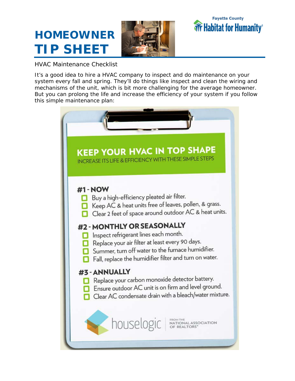## **HOMEOWNER TIP SHEET**



## **Fayette County** wifer Habitat for Humanity®

HVAC Maintenance Checklist

It's a good idea to hire a HVAC company to inspect and do maintenance on your system every fall and spring. They'll do things like inspect and clean the wiring and mechanisms of the unit, which is bit more challenging for the average homeowner. But you can prolong the life and increase the efficiency of your system if you follow this simple maintenance plan: